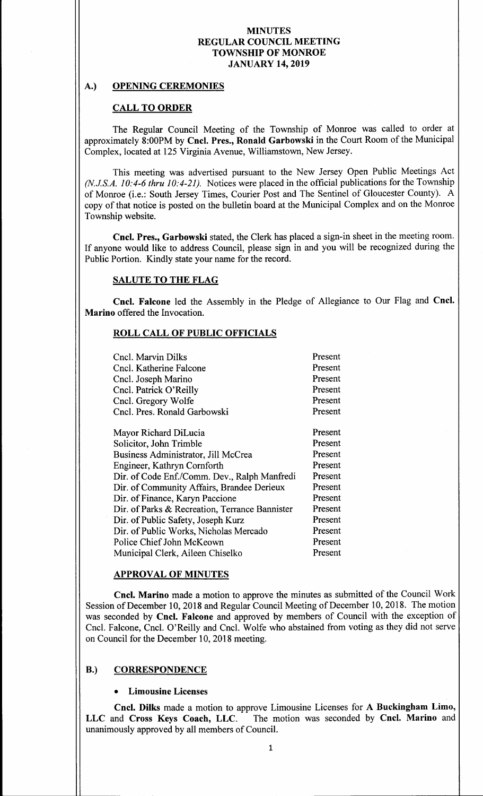## A.) OPENING CEREMONIES

# CALL TO ORDER

The Regular Council Meeting of the Township of Monroe was called to order at approximately 8:00PM by Cncl. Pres., Ronald Garbowski in the Court Room of the Municipal Complex, located at 125 Virginia Avenue, Williamstown, New Jersey.

This meeting was advertised pursuant to the New Jersey Open Public Meetings Act  $(N.J.S.A. 10: 4-6$  thru  $10: 4-21$ ). Notices were placed in the official publications for the Township of Monroe (i.e.: South Jersey Times, Courier Post and The Sentinel of Gloucester County). A copy of that notice is posted on the bulletin board at the Municipal Complex and on the Monroe Township website.

Cncl. Pres., Garbowski stated, the Clerk has placed a sign-in sheet in the meeting room. If anyone would like to address Council, please sign in and you will be recognized during the Public Portion. Kindly state your name for the record.

# SALUTE TO THE FLAG

Cncl. Falcone led the Assembly in the Pledge of Allegiance to Our Flag and Cncl. Marino offered the Invocation.

## ROLL CALL,OF PUBLIC OFFICIALS

| Cncl. Marvin Dilks                             | Present |
|------------------------------------------------|---------|
| Cncl. Katherine Falcone                        | Present |
| Cncl. Joseph Marino                            | Present |
| Cncl. Patrick O'Reilly                         | Present |
| Cncl. Gregory Wolfe                            | Present |
| Cncl. Pres. Ronald Garbowski                   | Present |
|                                                |         |
| Mayor Richard DiLucia                          | Present |
| Solicitor, John Trimble                        | Present |
| Business Administrator, Jill McCrea            | Present |
| Engineer, Kathryn Cornforth                    | Present |
| Dir. of Code Enf./Comm. Dev., Ralph Manfredi   | Present |
| Dir. of Community Affairs, Brandee Derieux     | Present |
| Dir. of Finance, Karyn Paccione                | Present |
| Dir. of Parks & Recreation, Terrance Bannister | Present |
| Dir. of Public Safety, Joseph Kurz             | Present |
| Dir. of Public Works, Nicholas Mercado         | Present |
| Police Chief John McKeown                      | Present |
| Municipal Clerk, Aileen Chiselko               | Present |
|                                                |         |

## APPROVAL OF MINUTES

Cncl. Marino made a motion to approve the minutes as submitted of the Council Work Session of December 10, 2018 and Regular Council Meeting of December 10, 2018. The motion was seconded by Cncl. Falcone and approved by members of Council with the exception of Cncl. Falcone, Cncl. O' Reilly and Cncl. Wolfe who abstained from voting as they did not serve on Council for the December 10, 2018 meeting.

## B.) CORRESPONDENCE

## Limousine Licenses

Cncl. Dilks made a motion to approve Limousine Licenses for A Buckingham Limo, LLC and Cross Keys Coach, LLC. The motion was seconded by Cncl. Marino and unanimously approved by all members of Council.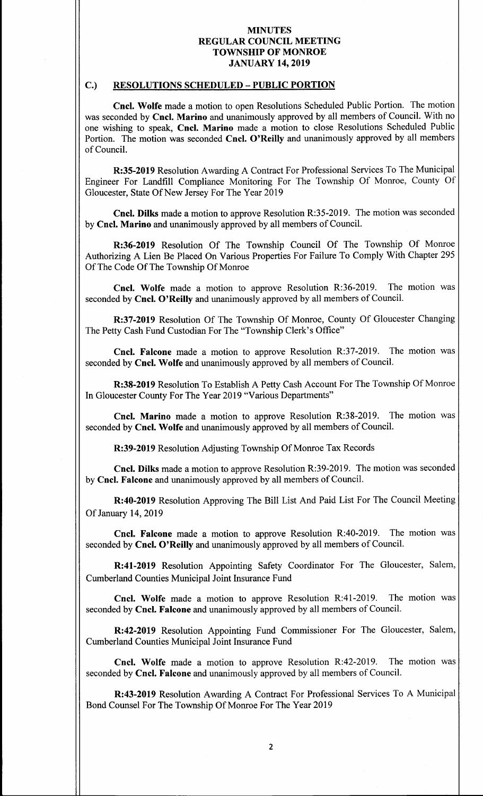#### C.) RESOLUTIONS SCHEDULED—PUBLIC PORTION

Cncl. Wolfe made a motion to open Resolutions Scheduled Public Portion. The motion was seconded by Cncl. Marino and unanimously approved by all members of Council. With no one wishing to speak, Cncl. Marino made a motion to close Resolutions Scheduled Public Portion. The motion was seconded Cncl. O'Reilly and unanimously approved by all members of Council.

R:35-2019 Resolution Awarding A Contract For Professional Services To The Municipal Engineer For Landfill Compliance Monitoring For The Township Of Monroe, County Of Gloucester, State Of New Jersey For The Year 2019

Cncl. Dilks made a motion to approve Resolution R:35- 2019. The motion was seconded by Cncl. Marino and unanimously approved by all members of Council.

R:36-2019 Resolution Of The Township Council Of The Township Of Monroe Authorizing A Lien Be Placed On Various Properties For Failure To Comply With Chapter 295 Of The Code Of The Township Of Monroe

Cncl. Wolfe made a motion to approve Resolution R:36-2019. The motion was seconded by Cncl. O'Reilly and unanimously approved by all members of Council.

R:37-2019 Resolution Of The Township Of Monroe, County Of Gloucester Changing The Petty Cash Fund Custodian For The "Township Clerk's Office"

Cncl. Falcone made a motion to approve Resolution R:37-2019. The motion was seconded by Cncl. Wolfe and unanimously approved by all members of Council.

R:38-2019 Resolution To Establish A Petty Cash Account For The Township Of Monroe In Gloucester County For The Year 2019 "Various Departments"

Cncl. Marino made a motion to approve Resolution R:38-2019. The motion was seconded by Cncl. Wolfe and unanimously approved by all members of Council.

R:39-2019 Resolution Adjusting Township Of Monroe Tax Records

Cncl. Dilks made a motion to approve Resolution R:39-2019. The motion was seconded by Cncl. Falcone and unanimously approved by all members of Council.

R:40-2019 Resolution Approving The Bill List And Paid List For The Council Meeting Of January 14, 2019

Cncl. Falcone made a motion to approve Resolution R:40-2019. The motion was seconded by Cncl. O'Reilly and unanimously approved by all members of Council.

R:41-2019 Resolution Appointing Safety Coordinator For The Gloucester, Salem, Cumberland Counties Municipal Joint Insurance Fund

Cncl. Wolfe made a motion to approve Resolution R:41-2019. The motion was seconded by Cncl. Falcone and unanimously approved by all members of Council.

R:42-2019 Resolution Appointing Fund Commissioner For The Gloucester, Salem, Cumberland Counties Municipal Joint Insurance Fund

Cncl. Wolfe made a motion to approve Resolution R:42-2019. The motion was seconded by Cncl. Falcone and unanimously approved by all members of Council.

R:43-2019 Resolution Awarding A Contract For Professional Services To A Municipal Bond Counsel For The Township Of Monroe For The Year 2019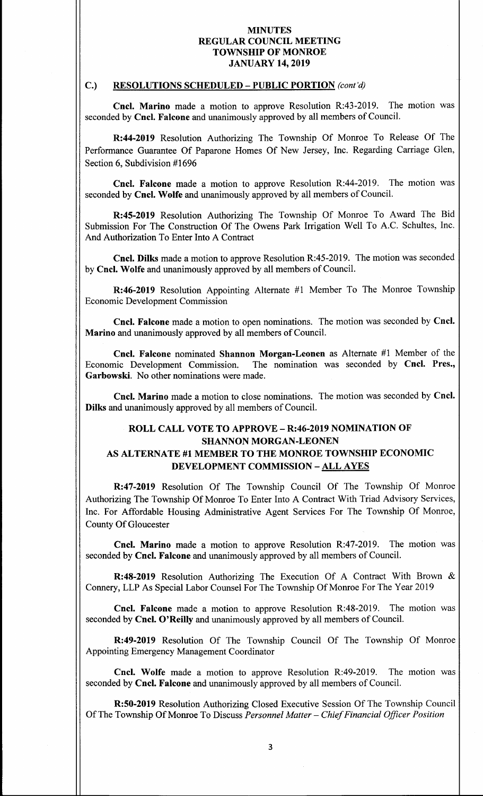#### C.) RESOLUTIONS SCHEDULED - PUBLIC PORTION (cont'd)

Cncl. Marino made a motion to approve Resolution R:43-2019. The motion was seconded by Cncl. Falcone and unanimously approved by all members of Council.

R:44- 2019 Resolution Authorizing The Township Of Monroe To Release Of The Performance Guarantee Of Paparone Homes Of New Jersey, Inc. Regarding Carriage Glen, Section 6, Subdivision #1696

Cncl. Falcone made a motion to approve Resolution R:44-2019. The motion was seconded by Cncl. Wolfe and unanimously approved by all members of Council.

R:45-2019 Resolution Authorizing The Township Of Monroe To Award The Bid Submission For The Construction Of The Owens Park Irrigation Well To A.C. Schultes, Inc. And Authorization To Enter Into A Contract

Cncl. Dilks made a motion to approve Resolution R:45-2019. The motion was seconded by Cncl. Wolfe and unanimously approved by all members of Council.

 $R:46-2019$  Resolution Appointing Alternate #1 Member To The Monroe Township Economic Development Commission

Cncl. Falcone made a motion to open nominations. The motion was seconded by Cncl. Marino and unanimously approved by all members of Council.

Cncl. Falcone nominated Shannon Morgan-Leonen as Alternate #1 Member of the Economic Development Commission. The nomination was seconded by Cncl. Pres., Garbowski. No other nominations were made.

Cncl. Marino made <sup>a</sup> motion to close nominations. The motion was seconded by Cncl. Dilks and unanimously approved by all members of Council.

# ROLL CALL VOTE TO APPROVE—R:46-2019 NOMINATION OF SHANNON MORGAN-LEONEN AS ALTERNATE #<sup>1</sup> MEMBER TO THE MONROE TOWNSHIP ECONOMIC DEVELOPMENT COMMISSION—ALL AYES

R:47-2019 Resolution Of The Township Council Of The Township Of Monroe Authorizing The Township Of Monroe To Enter Into A Contract With Triad Advisory Services, Inc. For Affordable Housing Administrative Agent Services For The Township Of Monroe, County Of Gloucester

Cncl. Marino made a motion to approve Resolution R:47-2019. The motion was seconded by Cncl. Falcone and unanimously approved by all members of Council.

R:48-2019 Resolution Authorizing The Execution Of A Contract With Brown & Connery, LLP As Special Labor Counsel For The Township Of Monroe For The Year 2019

Cncl. Falcone made a motion to approve Resolution R:48-2019. The motion was seconded by Cncl. O'Reilly and unanimously approved by all members of Council.

R:49-2019 Resolution Of The Township Council Of The Township Of Monroe Appointing Emergency Management Coordinator

Cncl. Wolfe made a motion to approve Resolution R:49-2019. The motion was seconded by Cncl. Falcone and unanimously approved by all members of Council.

R:50-2019 Resolution Authorizing Closed Executive Session Of The Township Council Of The Township Of Monroe To Discuss Personnel Matter - Chief Financial Officer Position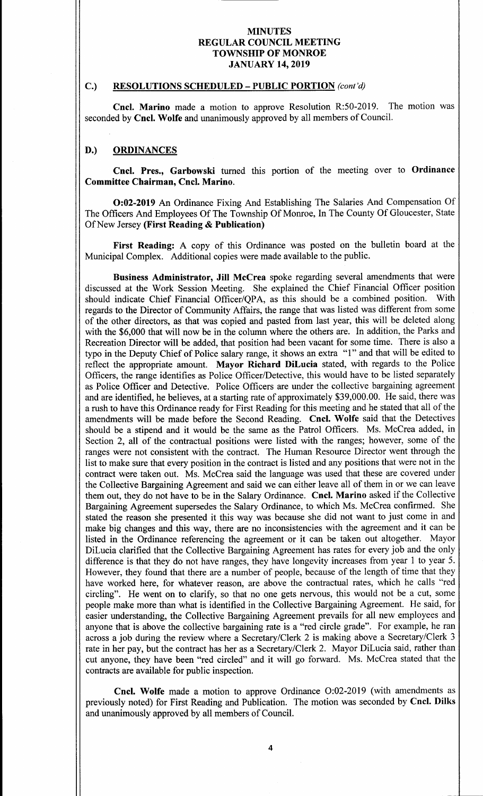#### C.) RESOLUTIONS SCHEDULED - PUBLIC PORTION (cont'd)

Cncl. Marino made a motion to approve Resolution R:50-2019. The motion was seconded by Cncl. Wolfe and unanimously approved by all members of Council.

## D.) ORDINANCES

Cncl. Pres., Garbowski turned this portion of the meeting over to Ordinance Committee Chairman, Cncl. Marino.

0:02- <sup>2019</sup> An Ordinance Fixing And Establishing The Salaries And Compensation Of The Officers And Employees Of The Township Of Monroe, In The County Of Gloucester, State Of New Jersey (First Reading & Publication)

First Reading: A copy of this Ordinance was posted on the bulletin board at the Municipal Complex. Additional copies were made available to the public.

Business Administrator, Jill McCrea spoke regarding several amendments that were discussed at the Work Session Meeting. She explained the Chief Financial Officer position<br>should indicate Chief Financial Officer/OPA, as this should be a combined position. With should indicate Chief Financial Officer/QPA, as this should be a combined position. regards to the Director of Community Affairs, the range that was listed was different from some of the other directors, as that was copied and pasted from last year, this will be deleted along with the \$6,000 that will now be in the column where the others are. In addition, the Parks and Recreation Director will be added, that position had been vacant for some time. There is also a typo in the Deputy Chief of Police salary range, it shows an extra "1" and that will be edited to reflect the appropriate amount. Mayor Richard DiLucia stated, with regards to the Police Officers, the range identifies as Police Officer/Detective, this would have to be listed separately as Police Officer and Detective. Police Officers are under the collective bargaining agreement and are identified, he believes, at a starting rate of approximately \$39,000.00. He said, there was a rush to have this Ordinance ready for First Reading for this meeting and he stated that all of the amendments will be made before the Second Reading. Cncl. Wolfe said that the Detectives should be <sup>a</sup> stipend and it would be the same as the Patrol Officers. Ms. McCrea added, in Section 2, all of the contractual positions were listed with the ranges; however, some of the ranges were not consistent with the contract. The Human Resource Director went through the list to make sure that every position in the contract is listed and any positions that were not in the contract were taken out. Ms. McCrea said the language was used that these are covered under the Collective Bargaining Agreement and said we can either leave all of them in or we can leave them out, they do not have to be in the Salary Ordinance. Cncl. Marino asked if the Collective Bargaining Agreement supersedes the Salary Ordinance, to which Ms. McCrea confirmed. She stated the reason she presented it this way was because she did not want to just come in and make big changes and this way, there are no inconsistencies with the agreement and it can be listed in the Ordinance referencing the agreement or it can be taken out altogether. Mayor DiLucia clarified that the Collective Bargaining Agreement has rates for every job and the only difference is that they do not have ranges, they have longevity increases from year <sup>1</sup> to year 5. However, they found that there are <sup>a</sup> number of people, because of the length of time that they have worked here, for whatever reason, are above the contractual rates, which he calls "red circling". He went on to clarify, so that no one gets nervous, this would not be a cut, some people make more than what is identified in the Collective Bargaining Agreement. He said, for easier understanding, the Collective Bargaining Agreement prevails for all new employees and anyone that is above the collective bargaining rate is a " red circle grade". For example, he ran across a job during the review where a Secretary/Clerk 2 is making above a Secretary/Clerk 3 rate in her pay, but the contract has her as a Secretary/Clerk 2. Mayor DiLucia said, rather than cut anyone, they have been " red circled" and it will go forward. Ms. McCrea stated that the contracts are available for public inspection.

Cncl. Wolfe made a motion to approve Ordinance O:02-2019 (with amendments as previously noted) for First Reading and Publication. The motion was seconded by Cncl. Dilks and unanimously approved by all members of Council.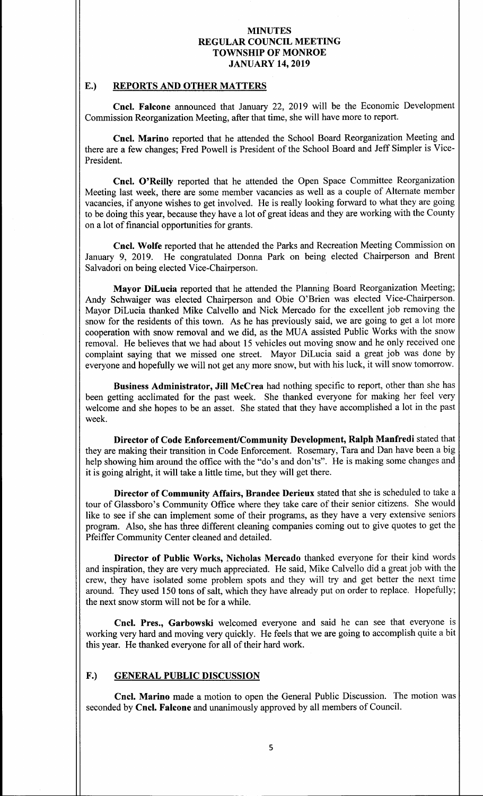# E.) REPORTS AND OTHER MATTERS

Cncl. Falcone announced that January 22, 2019 will be the Economic Development Commission Reorganization Meeting, after that time, she will have more to report.

Cncl. Marino reported that he attended the School Board Reorganization Meeting and there are a few changes; Fred Powell is President of the School Board and Jeff Simpler is Vice-President.

Cncl. O'Reilly reported that he attended the Open Space Committee Reorganization Meeting last week, there are some member vacancies as well as a couple of Alternate member vacancies, if anyone wishes to get involved. He is really looking forward to what they are going to be doing this year, because they have <sup>a</sup> lot of great ideas and they are working with the County on a lot of financial opportunities for grants.

Cncl. Wolfe reported that he attended the Parks and Recreation Meeting Commission on January 9, 2019. He congratulated Donna Park on being elected Chairperson and Brent Salvadori on being elected Vice-Chairperson.

Mayor DiLucia reported that he attended the Planning Board Reorganization Meeting; Andy Schwaiger was elected Chairperson and Obie O' Brien was elected Vice-Chairperson. Mayor DiLucia thanked Mike Calvello and Nick Mercado for the excellent job removing the snow for the residents of this town. As he has previously said, we are going to get <sup>a</sup> lot more cooperation with snow removal and we did, as the MUA assisted Public Works with the snow removal. He believes that we had about <sup>15</sup> vehicles out moving snow and he only received one complaint saying that we missed one street. Mayor DiLucia said a great job was done by everyone and hopefully we will not get any more snow, but with his luck, it will snow tomorrow.

Business Administrator, Jill McCrea had nothing specific to report, other than she has been getting acclimated for the past week. She thanked everyone for making her feel very welcome and she hopes to be an asset. She stated that they have accomplished <sup>a</sup> lot in the past week.

Director of Code Enforcement/Community Development, Ralph Manfredi stated that they are making their transition in Code Enforcement. Rosemary, Tara and Dan have been a big help showing him around the office with the "do's and don'ts". He is making some changes and it is going alright, it will take a little time, but they will get there.

Director of Community Affairs, Brandee Derieux stated that she is scheduled to take a tour of Glassboro's Community Office where they take care of their senior citizens. She would like to see if she can implement some of their programs, as they have a very extensive seniors program. Also, she has three different cleaning companies coming out to give quotes to get the Pfeiffer Community Center cleaned and detailed.

Director of Public Works, Nicholas Mercado thanked everyone for their kind words and inspiration, they are very much appreciated. He said, Mike Calvello did a great job with the crew, they have isolated some problem spots and they will try and get better the next time around. They used 150 tons of salt, which they have already put on order to replace. Hopefully; the next snow storm will not be for <sup>a</sup> while.

Cncl. Pres., Garbowski welcomed everyone and said he can see that everyone is working very hard and moving very quickly. He feels that we are going to accomplish quite a bit this year. He thanked everyone for all of their hard work.

## F.) GENERAL PUBLIC DISCUSSION

Cncl. Marino made a motion to open the General Public Discussion. The motion was seconded by Cncl. Falcone and unanimously approved by all members of Council.